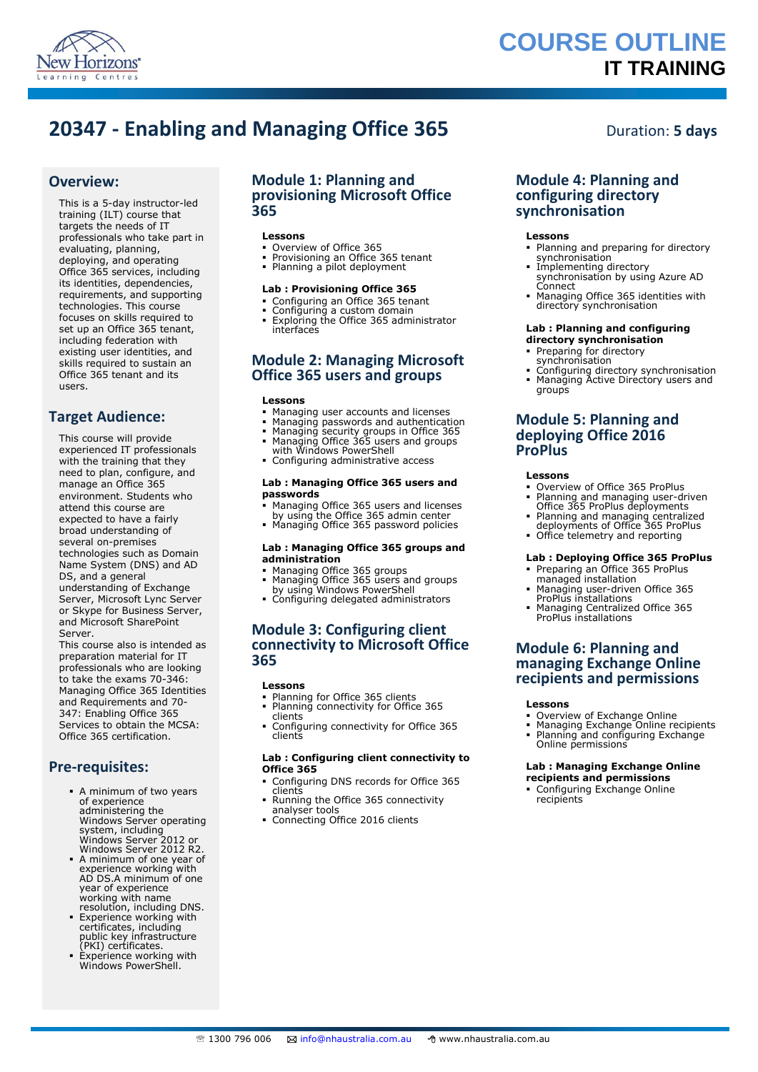

# **COURSE OUTLINE IT TRAINING**

# **20347 - Enabling and Managing Office 365** Duration: 5 days

### **Overview:**

This is a 5-day instructor-led training (ILT) course that targets the needs of IT professionals who take part in evaluating, planning, deploying, and operating Office 365 services, including its identities, dependencies, requirements, and supporting technologies. This course focuses on skills required to set up an Office 365 tenant, including federation with existing user identities, and skills required to sustain an Office 365 tenant and its users.

### **Target Audience:**

This course will provide experienced IT professionals with the training that they need to plan, configure, and manage an Office 365 environment. Students who attend this course are expected to have a fairly broad understanding of several on-premises technologies such as Domain Name System (DNS) and AD DS, and a general understanding of Exchange Server, Microsoft Lync Server or Skype for Business Server, and Microsoft SharePoint Server.

This course also is intended as preparation material for IT professionals who are looking to take the exams 70-346: Managing Office 365 Identities and Requirements and 70- 347: Enabling Office 365 Services to obtain the MCSA: Office 365 certification.

### **Pre-requisites:**

- A minimum of two years of experience administering the Windows Server operating<br>
system, including<br>
Windows Server 2012 or<br>
Windows Server 2012 R2.<br>
A minimum of one year of<br>
experience working with
- AD DS.A minimum of one year of experience working with name resolution, including DNS.
- **Experience working with** certificates, including public key infrastructure (PKI) certificates.
- Experience working with Windows PowerShell.

### **Module 1: Planning and provisioning Microsoft Office 365**

### **Lessons**

- Overview of Office 365
- Provisioning an Office 365 tenant Planning a pilot deployment

## **Lab : Provisioning Office 365**

- Configuring an Office 365 tenant
- Configuring a custom domain
- Exploring the Office 365 administrator interfaces

### **Module 2: Managing Microsoft Office 365 users and groups**

#### **Lessons**

- 
- Managing user accounts and licenses Managing passwords and authentication Managing security groups in Office 365 Managing Office 365 users and groups with Windows PowerShell
- 
- 
- Configuring administrative access

#### **Lab : Managing Office 365 users and passwords**

- Managing Office 365 users and licenses by using the Office 365 admin center Managing Office 365 password policies
- 

#### **Lab : Managing Office 365 groups and administration**

- 
- Managing Office 365 groups Managing Office 365 users and groups by using Windows PowerShell
- Configuring delegated administrators

### **Module 3: Configuring client connectivity to Microsoft Office 365**

#### **Lessons**

- Planning for Office 365 clients
- Planning connectivity for Office 365 clients
- Configuring connectivity for Office 365 clients

#### **Lab : Configuring client connectivity to Office 365**

- Configuring DNS records for Office 365
- clients Running the Office 365 connectivity
- analyser tools
- **Connecting Office 2016 clients**

### **Module 4: Planning and configuring directory synchronisation**

#### **Lessons**

- Planning and preparing for directory synchronisation Implementing directory
- synchronisation by using Azure AD Connect
- Managing Office 365 identities with directory synchronisation

#### **Lab : Planning and configuring directory synchronisation**

- Preparing for directory synchronisation
- Configuring directory synchronisation Managing Active Directory users and groups

### **Module 5: Planning and deploying Office 2016 ProPlus**

#### **Lessons**

- Overview of Office 365 ProPlus Planning and managing user-driven
- Office 365 ProPlus deployments Planning and managing centralized deployments of Office 365 ProPlus
- Office telemetry and reporting

### **Lab : Deploying Office 365 ProPlus**

- Preparing an Office 365 ProPlus managed installation Managing user-driven Office 365
- ProPlus installations Managing Centralized Office 365
- ProPlus installations

### **Module 6: Planning and managing Exchange Online recipients and permissions**

#### **Lessons**

- Overview of Exchange Online
- Managing Exchange Online recipients Planning and configuring Exchange Online permissions

#### **Lab : Managing Exchange Online recipients and permissions**

 Configuring Exchange Online recipients